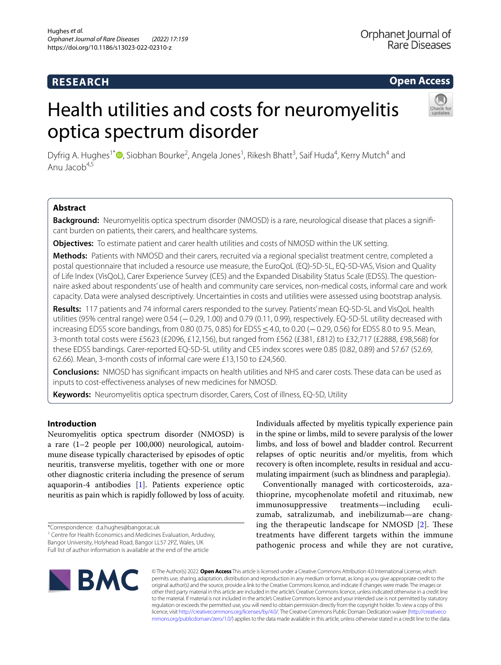# **RESEARCH**

# **Open Access**

# Health utilities and costs for neuromyelitis optica spectrum disorder



Dyfrig A. Hughes<sup>1\*</sup><sup>®</sup>[,](http://orcid.org/0000-0001-8247-7459) Siobhan Bourke<sup>2</sup>, Angela Jones<sup>1</sup>, Rikesh Bhatt<sup>3</sup>, Saif Huda<sup>4</sup>, Kerry Mutch<sup>4</sup> and Anu Jacob $4,5$ 

# **Abstract**

**Background:** Neuromyelitis optica spectrum disorder (NMOSD) is a rare, neurological disease that places a signifcant burden on patients, their carers, and healthcare systems.

**Objectives:** To estimate patient and carer health utilities and costs of NMOSD within the UK setting.

**Methods:** Patients with NMOSD and their carers, recruited via a regional specialist treatment centre, completed a postal questionnaire that included a resource use measure, the EuroQoL (EQ)-5D-5L, EQ-5D-VAS, Vision and Quality of Life Index (VisQoL), Carer Experience Survey (CES) and the Expanded Disability Status Scale (EDSS). The questionnaire asked about respondents' use of health and community care services, non-medical costs, informal care and work capacity. Data were analysed descriptively. Uncertainties in costs and utilities were assessed using bootstrap analysis.

**Results:** 117 patients and 74 informal carers responded to the survey. Patients' mean EQ-5D-5L and VisQoL health utilities (95% central range) were 0.54 (−0.29, 1.00) and 0.79 (0.11, 0.99), respectively. EQ-5D-5L utility decreased with increasing EDSS score bandings, from 0.80 (0.75, 0.85) for EDSS ≤4.0, to 0.20 (–0.29, 0.56) for EDSS 8.0 to 9.5. Mean, 3-month total costs were £5623 (£2096, £12,156), but ranged from £562 (£381, £812) to £32,717 (£2888, £98,568) for these EDSS bandings. Carer-reported EQ-5D-5L utility and CES index scores were 0.85 (0.82, 0.89) and 57.67 (52.69, 62.66). Mean, 3-month costs of informal care were £13,150 to £24,560.

**Conclusions:** NMOSD has signifcant impacts on health utilities and NHS and carer costs. These data can be used as inputs to cost-efectiveness analyses of new medicines for NMOSD.

**Keywords:** Neuromyelitis optica spectrum disorder, Carers, Cost of illness, EQ-5D, Utility

# **Introduction**

Neuromyelitis optica spectrum disorder (NMOSD) is a rare (1–2 people per 100,000) neurological, autoimmune disease typically characterised by episodes of optic neuritis, transverse myelitis, together with one or more other diagnostic criteria including the presence of serum aquaporin-4 antibodies [[1\]](#page-9-0). Patients experience optic neuritis as pain which is rapidly followed by loss of acuity.

<sup>1</sup> Centre for Health Economics and Medicines Evaluation, Ardudwy, Bangor University, Holyhead Road, Bangor LL57 2PZ, Wales, UK

Full list of author information is available at the end of the article

Individuals afected by myelitis typically experience pain in the spine or limbs, mild to severe paralysis of the lower limbs, and loss of bowel and bladder control. Recurrent relapses of optic neuritis and/or myelitis, from which recovery is often incomplete, results in residual and accumulating impairment (such as blindness and paraplegia).

Conventionally managed with corticosteroids, azathioprine, mycophenolate mofetil and rituximab, new immunosuppressive treatments—including eculizumab, satralizumab, and inebilizumab—are changing the therapeutic landscape for NMOSD  $[2]$  $[2]$ . These treatments have diferent targets within the immune pathogenic process and while they are not curative,



© The Author(s) 2022. **Open Access** This article is licensed under a Creative Commons Attribution 4.0 International License, which permits use, sharing, adaptation, distribution and reproduction in any medium or format, as long as you give appropriate credit to the original author(s) and the source, provide a link to the Creative Commons licence, and indicate if changes were made. The images or other third party material in this article are included in the article's Creative Commons licence, unless indicated otherwise in a credit line to the material. If material is not included in the article's Creative Commons licence and your intended use is not permitted by statutory regulation or exceeds the permitted use, you will need to obtain permission directly from the copyright holder. To view a copy of this licence, visit [http://creativecommons.org/licenses/by/4.0/.](http://creativecommons.org/licenses/by/4.0/) The Creative Commons Public Domain Dedication waiver ([http://creativeco](http://creativecommons.org/publicdomain/zero/1.0/) [mmons.org/publicdomain/zero/1.0/](http://creativecommons.org/publicdomain/zero/1.0/)) applies to the data made available in this article, unless otherwise stated in a credit line to the data.

<sup>\*</sup>Correspondence: d.a.hughes@bangor.ac.uk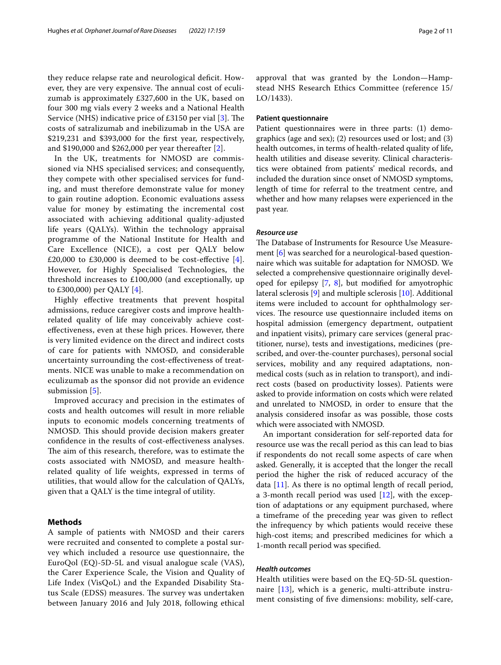they reduce relapse rate and neurological deficit. However, they are very expensive. The annual cost of eculizumab is approximately £327,600 in the UK, based on four 300 mg vials every 2 weeks and a National Health Service (NHS) indicative price of  $£3150$  per vial [[3\]](#page-9-2). The costs of satralizumab and inebilizumab in the USA are \$219,231 and \$393,000 for the frst year, respectively, and \$190,000 and \$262,000 per year thereafter [\[2](#page-9-1)].

In the UK, treatments for NMOSD are commissioned via NHS specialised services; and consequently, they compete with other specialised services for funding, and must therefore demonstrate value for money to gain routine adoption. Economic evaluations assess value for money by estimating the incremental cost associated with achieving additional quality-adjusted life years (QALYs). Within the technology appraisal programme of the National Institute for Health and Care Excellence (NICE), a cost per QALY below £20,000 to £30,000 is deemed to be cost-effective  $[4]$  $[4]$ . However, for Highly Specialised Technologies, the threshold increases to £100,000 (and exceptionally, up to £300,000) per QALY [[4\]](#page-9-3).

Highly efective treatments that prevent hospital admissions, reduce caregiver costs and improve healthrelated quality of life may conceivably achieve costefectiveness, even at these high prices. However, there is very limited evidence on the direct and indirect costs of care for patients with NMOSD, and considerable uncertainty surrounding the cost-efectiveness of treatments. NICE was unable to make a recommendation on eculizumab as the sponsor did not provide an evidence submission [[5\]](#page-9-4).

Improved accuracy and precision in the estimates of costs and health outcomes will result in more reliable inputs to economic models concerning treatments of NMOSD. This should provide decision makers greater confdence in the results of cost-efectiveness analyses. The aim of this research, therefore, was to estimate the costs associated with NMOSD, and measure healthrelated quality of life weights, expressed in terms of utilities, that would allow for the calculation of QALYs, given that a QALY is the time integral of utility.

# **Methods**

A sample of patients with NMOSD and their carers were recruited and consented to complete a postal survey which included a resource use questionnaire, the EuroQol (EQ)-5D-5L and visual analogue scale (VAS), the Carer Experience Scale, the Vision and Quality of Life Index (VisQoL) and the Expanded Disability Status Scale (EDSS) measures. The survey was undertaken between January 2016 and July 2018, following ethical approval that was granted by the London—Hampstead NHS Research Ethics Committee (reference 15/ LO/1433).

# **Patient questionnaire**

Patient questionnaires were in three parts: (1) demographics (age and sex); (2) resources used or lost; and (3) health outcomes, in terms of health-related quality of life, health utilities and disease severity. Clinical characteristics were obtained from patients' medical records, and included the duration since onset of NMOSD symptoms, length of time for referral to the treatment centre, and whether and how many relapses were experienced in the past year.

# *Resource use*

The Database of Instruments for Resource Use Measurement [[6](#page-9-5)] was searched for a neurological-based questionnaire which was suitable for adaptation for NMOSD. We selected a comprehensive questionnaire originally developed for epilepsy  $[7, 8]$  $[7, 8]$  $[7, 8]$  $[7, 8]$  $[7, 8]$ , but modified for amyotrophic lateral sclerosis [[9](#page-9-8)] and multiple sclerosis [\[10](#page-9-9)]. Additional items were included to account for ophthalmology services. The resource use questionnaire included items on hospital admission (emergency department, outpatient and inpatient visits), primary care services (general practitioner, nurse), tests and investigations, medicines (prescribed, and over-the-counter purchases), personal social services, mobility and any required adaptations, nonmedical costs (such as in relation to transport), and indirect costs (based on productivity losses). Patients were asked to provide information on costs which were related and unrelated to NMOSD, in order to ensure that the analysis considered insofar as was possible, those costs which were associated with NMOSD.

An important consideration for self-reported data for resource use was the recall period as this can lead to bias if respondents do not recall some aspects of care when asked. Generally, it is accepted that the longer the recall period the higher the risk of reduced accuracy of the data  $[11]$  $[11]$  $[11]$ . As there is no optimal length of recall period, a 3-month recall period was used [\[12\]](#page-10-1), with the exception of adaptations or any equipment purchased, where a timeframe of the preceding year was given to refect the infrequency by which patients would receive these high-cost items; and prescribed medicines for which a 1-month recall period was specifed.

# *Health outcomes*

Health utilities were based on the EQ-5D-5L questionnaire [[13](#page-10-2)], which is a generic, multi-attribute instrument consisting of fve dimensions: mobility, self-care,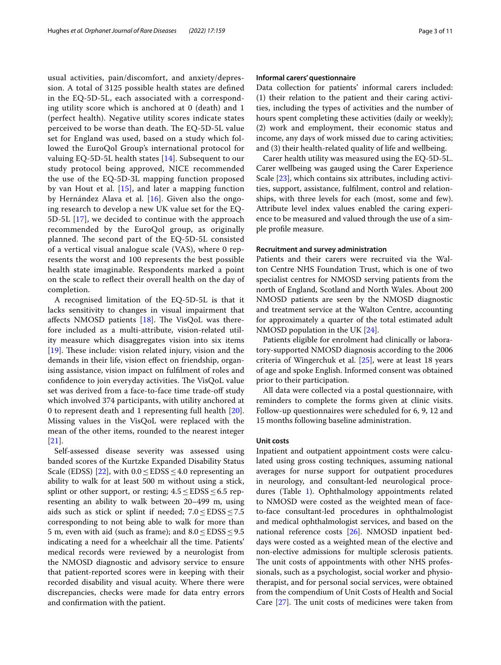usual activities, pain/discomfort, and anxiety/depression. A total of 3125 possible health states are defned in the EQ-5D-5L, each associated with a corresponding utility score which is anchored at 0 (death) and 1 (perfect health). Negative utility scores indicate states perceived to be worse than death. The EQ-5D-5L value set for England was used, based on a study which followed the EuroQol Group's international protocol for valuing EQ-5D-5L health states [\[14](#page-10-3)]. Subsequent to our study protocol being approved, NICE recommended the use of the EQ-5D-3L mapping function proposed by van Hout et al.  $[15]$  $[15]$ , and later a mapping function by Hernández Alava et al. [\[16\]](#page-10-5). Given also the ongoing research to develop a new UK value set for the EQ-5D-5L [\[17](#page-10-6)], we decided to continue with the approach recommended by the EuroQol group, as originally planned. The second part of the EQ-5D-5L consisted of a vertical visual analogue scale (VAS), where 0 represents the worst and 100 represents the best possible health state imaginable. Respondents marked a point on the scale to refect their overall health on the day of completion.

A recognised limitation of the EQ-5D-5L is that it lacks sensitivity to changes in visual impairment that affects NMOSD patients  $[18]$  $[18]$ . The VisQoL was therefore included as a multi-attribute, vision-related utility measure which disaggregates vision into six items  $[19]$  $[19]$ . These include: vision related injury, vision and the demands in their life, vision efect on friendship, organising assistance, vision impact on fulflment of roles and confidence to join everyday activities. The VisQoL value set was derived from a face-to-face time trade-of study which involved 374 participants, with utility anchored at 0 to represent death and 1 representing full health [\[20](#page-10-9)]. Missing values in the VisQoL were replaced with the mean of the other items, rounded to the nearest integer [[21\]](#page-10-10).

Self-assessed disease severity was assessed using banded scores of the Kurtzke Expanded Disability Status Scale (EDSS) [[22](#page-10-11)], with  $0.0 \le EDSS \le 4.0$  representing an ability to walk for at least 500 m without using a stick, splint or other support, or resting;  $4.5 \leq EDSS \leq 6.5$  representing an ability to walk between 20–499 m, using aids such as stick or splint if needed;  $7.0 \leq EDSS \leq 7.5$ corresponding to not being able to walk for more than 5 m, even with aid (such as frame); and  $8.0 \leq$  EDSS  $\leq$  9.5 indicating a need for a wheelchair all the time. Patients' medical records were reviewed by a neurologist from the NMOSD diagnostic and advisory service to ensure that patient-reported scores were in keeping with their recorded disability and visual acuity. Where there were discrepancies, checks were made for data entry errors and confrmation with the patient.

# **Informal carers' questionnaire**

Data collection for patients' informal carers included: (1) their relation to the patient and their caring activities, including the types of activities and the number of hours spent completing these activities (daily or weekly); (2) work and employment, their economic status and income, any days of work missed due to caring activities; and (3) their health-related quality of life and wellbeing.

Carer health utility was measured using the EQ-5D-5L. Carer wellbeing was gauged using the Carer Experience Scale [[23](#page-10-12)], which contains six attributes, including activities, support, assistance, fulflment, control and relationships, with three levels for each (most, some and few). Attribute level index values enabled the caring experience to be measured and valued through the use of a simple profle measure.

#### **Recruitment and survey administration**

Patients and their carers were recruited via the Walton Centre NHS Foundation Trust, which is one of two specialist centres for NMOSD serving patients from the north of England, Scotland and North Wales. About 200 NMOSD patients are seen by the NMOSD diagnostic and treatment service at the Walton Centre, accounting for approximately a quarter of the total estimated adult NMOSD population in the UK [[24](#page-10-13)].

Patients eligible for enrolment had clinically or laboratory-supported NMOSD diagnosis according to the 2006 criteria of Wingerchuk et al. [[25\]](#page-10-14), were at least 18 years of age and spoke English. Informed consent was obtained prior to their participation.

All data were collected via a postal questionnaire, with reminders to complete the forms given at clinic visits. Follow-up questionnaires were scheduled for 6, 9, 12 and 15 months following baseline administration.

# **Unit costs**

Inpatient and outpatient appointment costs were calculated using gross costing techniques, assuming national averages for nurse support for outpatient procedures in neurology, and consultant-led neurological procedures (Table [1](#page-3-0)). Ophthalmology appointments related to NMOSD were costed as the weighted mean of faceto-face consultant-led procedures in ophthalmologist and medical ophthalmologist services, and based on the national reference costs [[26](#page-10-15)]. NMOSD inpatient beddays were costed as a weighted mean of the elective and non-elective admissions for multiple sclerosis patients. The unit costs of appointments with other NHS professionals, such as a psychologist, social worker and physiotherapist, and for personal social services, were obtained from the compendium of Unit Costs of Health and Social Care  $[27]$  $[27]$ . The unit costs of medicines were taken from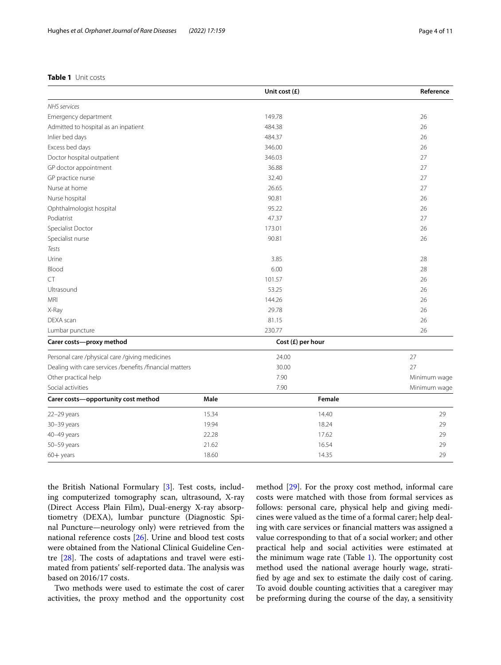# <span id="page-3-0"></span>**Table 1** Unit costs

|                                                         |       | Unit cost (£)     |        | Reference    |
|---------------------------------------------------------|-------|-------------------|--------|--------------|
| <b>NHS</b> services                                     |       |                   |        |              |
| Emergency department                                    |       | 149.78            |        | 26           |
| Admitted to hospital as an inpatient                    |       | 484.38            |        | 26           |
| Inlier bed days                                         |       | 484.37            |        | 26           |
| Excess bed days                                         |       | 346.00            |        | 26           |
| Doctor hospital outpatient                              |       | 346.03            |        | 27           |
| GP doctor appointment                                   |       | 36.88             |        | 27           |
| GP practice nurse                                       |       | 32.40             |        | 27           |
| Nurse at home                                           |       | 26.65             |        | 27           |
| Nurse hospital                                          |       | 90.81             |        | 26           |
| Ophthalmologist hospital                                |       | 95.22             |        | 26           |
| Podiatrist                                              |       | 47.37             |        | 27           |
| Specialist Doctor                                       |       | 173.01            |        | 26           |
| Specialist nurse                                        |       | 90.81             |        | 26           |
| Tests                                                   |       |                   |        |              |
| Urine                                                   |       | 3.85              |        | 28           |
| Blood                                                   |       | 6.00              |        | 28           |
| CT                                                      |       | 101.57            |        | 26           |
| Ultrasound                                              | 53.25 |                   | 26     |              |
| <b>MRI</b>                                              |       | 144.26            |        | 26           |
| X-Ray                                                   |       | 29.78             |        | 26           |
| DEXA scan                                               |       | 81.15             |        | 26           |
| Lumbar puncture                                         |       | 230.77            |        | 26           |
| Carer costs-proxy method                                |       | Cost (£) per hour |        |              |
| Personal care /physical care /giving medicines          |       | 24.00             |        | 27           |
| Dealing with care services /benefits /financial matters |       | 30.00             |        | 27           |
| Other practical help                                    |       | 7.90              |        | Minimum wage |
| Social activities                                       |       | 7.90              |        | Minimum wage |
| Carer costs-opportunity cost method                     | Male  |                   | Female |              |
| 22-29 years                                             | 15.34 |                   | 14.40  | 29           |
| 30-39 years                                             | 19.94 |                   | 18.24  | 29           |
| 40-49 years                                             | 22.28 |                   | 17.62  | 29           |
| 50-59 years                                             | 21.62 | 16.54             |        | 29           |
| $60 +$ years                                            | 18.60 |                   | 14.35  | 29           |

the British National Formulary [\[3\]](#page-9-2). Test costs, including computerized tomography scan, ultrasound, X-ray (Direct Access Plain Film), Dual-energy X-ray absorptiometry (DEXA), lumbar puncture (Diagnostic Spinal Puncture—neurology only) were retrieved from the national reference costs [\[26](#page-10-15)]. Urine and blood test costs were obtained from the National Clinical Guideline Centre  $[28]$  $[28]$ . The costs of adaptations and travel were estimated from patients' self-reported data. The analysis was based on 2016/17 costs.

Two methods were used to estimate the cost of carer activities, the proxy method and the opportunity cost method [[29](#page-10-18)]. For the proxy cost method, informal care costs were matched with those from formal services as follows: personal care, physical help and giving medicines were valued as the time of a formal carer; help dealing with care services or fnancial matters was assigned a value corresponding to that of a social worker; and other practical help and social activities were estimated at the minimum wage rate (Table  $1$ ). The opportunity cost method used the national average hourly wage, stratifed by age and sex to estimate the daily cost of caring. To avoid double counting activities that a caregiver may be preforming during the course of the day, a sensitivity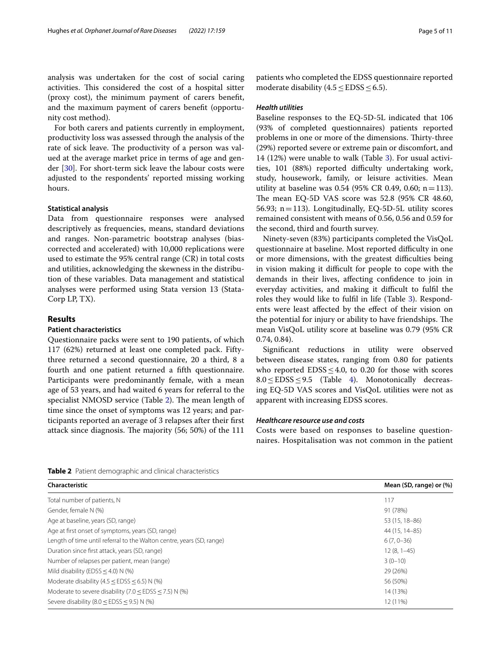analysis was undertaken for the cost of social caring activities. This considered the cost of a hospital sitter (proxy cost), the minimum payment of carers beneft, and the maximum payment of carers beneft (opportunity cost method).

For both carers and patients currently in employment, productivity loss was assessed through the analysis of the rate of sick leave. The productivity of a person was valued at the average market price in terms of age and gender [\[30](#page-10-19)]. For short-term sick leave the labour costs were adjusted to the respondents' reported missing working hours.

# **Statistical analysis**

Data from questionnaire responses were analysed descriptively as frequencies, means, standard deviations and ranges. Non-parametric bootstrap analyses (biascorrected and accelerated) with 10,000 replications were used to estimate the 95% central range (CR) in total costs and utilities, acknowledging the skewness in the distribution of these variables. Data management and statistical analyses were performed using Stata version 13 (Stata-Corp LP, TX).

# **Results**

#### **Patient characteristics**

Questionnaire packs were sent to 190 patients, of which 117 (62%) returned at least one completed pack. Fiftythree returned a second questionnaire, 20 a third, 8 a fourth and one patient returned a ffth questionnaire. Participants were predominantly female, with a mean age of 53 years, and had waited 6 years for referral to the specialist NMOSD service (Table [2\)](#page-4-0). The mean length of time since the onset of symptoms was 12 years; and participants reported an average of 3 relapses after their frst attack since diagnosis. The majority (56; 50%) of the 111

# *Health utilities*

Baseline responses to the EQ-5D-5L indicated that 106 (93% of completed questionnaires) patients reported problems in one or more of the dimensions. Thirty-three (29%) reported severe or extreme pain or discomfort, and 14 (12%) were unable to walk (Table [3](#page-5-0)). For usual activities, 101 (88%) reported difficulty undertaking work, study, housework, family, or leisure activities. Mean utility at baseline was 0.54 (95% CR 0.49, 0.60;  $n = 113$ ). The mean EQ-5D VAS score was  $52.8$  (95% CR 48.60, 56.93;  $n=113$ ). Longitudinally, EQ-5D-5L utility scores remained consistent with means of 0.56, 0.56 and 0.59 for the second, third and fourth survey.

Ninety-seven (83%) participants completed the VisQoL questionnaire at baseline. Most reported difficulty in one or more dimensions, with the greatest difficulties being in vision making it difficult for people to cope with the demands in their lives, afecting confdence to join in everyday activities, and making it difficult to fulfil the roles they would like to fulfl in life (Table [3\)](#page-5-0). Respondents were least afected by the efect of their vision on the potential for injury or ability to have friendships. The mean VisQoL utility score at baseline was 0.79 (95% CR 0.74, 0.84).

Signifcant reductions in utility were observed between disease states, ranging from 0.80 for patients who reported  $EDSS \leq 4.0$ , to 0.20 for those with scores 8.0 ≤ EDSS ≤ 9.5 (Table [4](#page-5-1)). Monotonically decreasing EQ-5D VAS scores and VisQoL utilities were not as apparent with increasing EDSS scores.

# *Healthcare resource use and costs*

Costs were based on responses to baseline questionnaires. Hospitalisation was not common in the patient

<span id="page-4-0"></span>**Table 2** Patient demographic and clinical characteristics

| Characteristic                                                        | Mean (SD, range) or (%) |
|-----------------------------------------------------------------------|-------------------------|
| Total number of patients, N                                           | 117                     |
| Gender, female N (%)                                                  | 91 (78%)                |
| Age at baseline, years (SD, range)                                    | 53 (15, 18-86)          |
| Age at first onset of symptoms, years (SD, range)                     | 44 (15, 14 - 85)        |
| Length of time until referral to the Walton centre, years (SD, range) | $6(7, 0-36)$            |
| Duration since first attack, years (SD, range)                        | $12(8, 1-45)$           |
| Number of relapses per patient, mean (range)                          | $3(0-10)$               |
| Mild disability (EDSS $\leq$ 4.0) N (%)                               | 29 (26%)                |
| Moderate disability (4.5 $\le$ EDSS $\le$ 6.5) N (%)                  | 56 (50%)                |
| Moderate to severe disability (7.0 $\le$ EDSS $\le$ 7.5) N (%)        | 14 (13%)                |
| Severe disability (8.0 $\le$ EDSS $\le$ 9.5) N (%)                    | 12 (11%)                |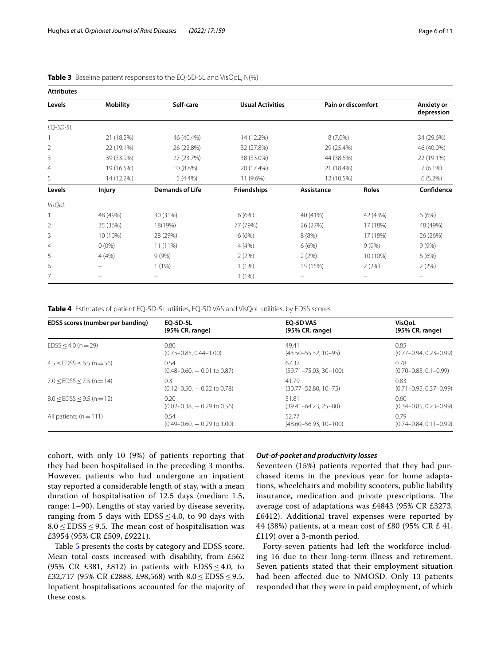| <b>Attributes</b> |                 |                        |                         |            |                    |                                 |
|-------------------|-----------------|------------------------|-------------------------|------------|--------------------|---------------------------------|
| Levels            | <b>Mobility</b> | Self-care              | <b>Usual Activities</b> |            | Pain or discomfort | <b>Anxiety or</b><br>depression |
| EQ-5D-5L          |                 |                        |                         |            |                    |                                 |
|                   | 21 (18.2%)      | 46 (40.4%)             | 14 (12.2%)              | $8(7.0\%)$ |                    | 34 (29.6%)                      |
| $\overline{2}$    | 22 (19.1%)      | 26 (22.8%)             | 32 (27.8%)              | 29 (25.4%) |                    | 46 (40.0%)                      |
| 3                 | 39 (33.9%)      | 27 (23.7%)             | 38 (33.0%)              | 44 (38.6%) |                    | 22 (19.1%)                      |
| 4                 | 19 (16.5%)      | 10 (8.8%)              | 20 (17.4%)              | 21 (18.4%) |                    | $7(6.1\%)$                      |
| 5                 | 14 (12.2%)      | $5(4.4\%)$             | 11 (9.6%)               | 12 (10.5%) |                    | $6(5.2\%)$                      |
| Levels            | <b>Injury</b>   | <b>Demands of Life</b> | <b>Friendships</b>      | Assistance | Roles              | Confidence                      |
| VisQoL            |                 |                        |                         |            |                    |                                 |
|                   | 48 (49%)        | 30 (31%)               | 6(6%)                   | 40 (41%)   | 42 (43%)           | 6(6%)                           |
| 2                 | 35 (36%)        | 18(19%)                | 77 (79%)                | 26 (27%)   | 17 (18%)           | 48 (49%)                        |
| 3                 | 10 (10%)        | 28 (29%)               | 6(6%)                   | 8(8%)      | 17 (18%)           | 26 (26%)                        |
| $\overline{4}$    | $0(0\%)$        | 11 (11%)               | 4(4%)                   | 6(6%)      | 9(9%)              | 9(9%)                           |
| 5                 | 4(4%)           | 9(9%)                  | 2(2%)                   | 2(2%)      | 10 (10%)           | 6(6%)                           |
| 6                 |                 | 1(1%)                  | 1(1%)                   | 15 (15%)   | 2(2%)              | 2(2%)                           |
| 7                 |                 |                        | 1(1%)                   |            |                    |                                 |

<span id="page-5-0"></span>

|  |  |  | <b>Table 3</b> Baseline patient responses to the EQ-5D-5L and VisQoL, N(%) |  |  |  |  |  |
|--|--|--|----------------------------------------------------------------------------|--|--|--|--|--|
|--|--|--|----------------------------------------------------------------------------|--|--|--|--|--|

<span id="page-5-1"></span>**Table 4** Estimates of patient EQ-5D-5L utilities, EQ-5D VAS and VisQoL utilities, by EDSS scores

| EDSS scores (number per banding) | EO-5D-5L                        | <b>EO-5D VAS</b>            | <b>VisOoL</b>                |
|----------------------------------|---------------------------------|-----------------------------|------------------------------|
|                                  | (95% CR, range)                 | (95% CR, range)             | (95% CR, range)              |
| $EDSS < 4.0$ (n = 29)            | 0.80                            | 49.41                       | 0.85                         |
|                                  | $(0.75 - 0.85, 0.44 - 1.00)$    | $(43.50 - 55.32, 10 - 95)$  | $(0.77 - 0.94, 0.23 - 0.99)$ |
| $4.5 <$ EDSS $<$ 6.5 (n = 56)    | 0.54                            | 67.37                       | 0.78                         |
|                                  | $(0.48 - 0.60) - 0.01$ to 0.87) | $(59.71 - 75.03, 30 - 100)$ | $(0.70 - 0.85, 0.1 - 0.99)$  |
| $7.0 <$ EDSS $<$ 7.5 (n = 14)    | 0.31                            | 41.79                       | 0.83                         |
|                                  | $(0.12 - 0.50) - 0.22$ to 0.78  | $(30.77 - 52.80, 10 - 75)$  | $(0.71 - 0.95, 0.37 - 0.99)$ |
| $8.0 <$ EDSS $<$ 9.5 (n = 12)    | 0.20                            | 51.81                       | 0.60                         |
|                                  | $(0.02 - 0.38, -0.29)$ to 0.56  | $(39.41 - 64.23, 25 - 80)$  | $(0.34 - 0.85, 0.23 - 0.99)$ |
| All patients ( $n = 111$ )       | 0.54                            | 52.77                       | 0.79                         |
|                                  | $(0.49 - 0.60, -0.29)$ to 1.00  | $(48.60 - 56.93, 10 - 100)$ | $(0.74 - 0.84, 0.11 - 0.99)$ |

cohort, with only 10 (9%) of patients reporting that they had been hospitalised in the preceding 3 months. However, patients who had undergone an inpatient stay reported a considerable length of stay, with a mean duration of hospitalisation of 12.5 days (median: 1.5, range: 1–90). Lengths of stay varied by disease severity, ranging from 5 days with  $EDSS \leq 4.0$ , to 90 days with  $8.0 \leq$  EDSS  $\leq$  9.5. The mean cost of hospitalisation was £3954 (95% CR £509, £9221).

Table [5](#page-6-0) presents the costs by category and EDSS score. Mean total costs increased with disability, from £562 (95% CR £381, £812) in patients with  $EDSS \leq 4.0$ , to £32,717 (95% CR £2888, £98,568) with 8.0≤EDSS≤9.5. Inpatient hospitalisations accounted for the majority of these costs.

#### *Out‑of‑pocket and productivity losses*

Seventeen (15%) patients reported that they had purchased items in the previous year for home adaptations, wheelchairs and mobility scooters, public liability insurance, medication and private prescriptions. The average cost of adaptations was £4843 (95% CR £3273, £6412). Additional travel expenses were reported by 44 (38%) patients, at a mean cost of £80 (95% CR £ 41, £119) over a 3-month period.

Forty-seven patients had left the workforce including 16 due to their long-term illness and retirement. Seven patients stated that their employment situation had been afected due to NMOSD. Only 13 patients responded that they were in paid employment, of which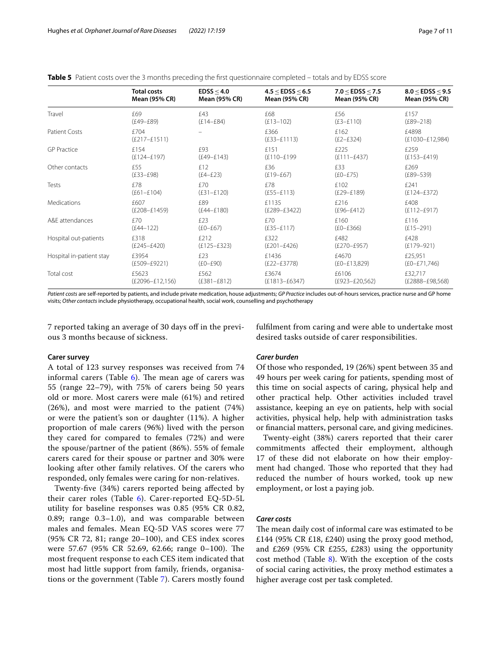<span id="page-6-0"></span>**Table 5** Patient costs over the 3 months preceding the first questionnaire completed – totals and by EDSS score

|                          | <b>Total costs</b>       | EDSS < 4.0      | 4.5 < EDSS < 6.5        | 7.0 < EDSS < 7.5     | 8.0 < EDSS < 9.5             |
|--------------------------|--------------------------|-----------------|-------------------------|----------------------|------------------------------|
|                          | <b>Mean (95% CR)</b>     | Mean (95% CR)   | Mean (95% CR)           | <b>Mean (95% CR)</b> | Mean (95% CR)                |
| Travel                   | f69                      | £43             | £68                     | £56                  | £157                         |
|                          | $(E49-E89)$              | $(E14 - E84)$   | $(E13 - 102)$           | $(E3 - E110)$        | $(E89 - 218)$                |
| <b>Patient Costs</b>     | £704<br>$(E217 - E1511)$ |                 | £366<br>$(E33 - E1113)$ | £162<br>$(E2-E324)$  | £4898<br>$(E1030 - E12,984)$ |
| <b>GP Practice</b>       | £154                     | £93             | £151                    | £225                 | £259                         |
|                          | $(E124 - E197)$          | $(E49 - E143)$  | (£110-£199              | $(E111 - E437)$      | $(E153 - E419)$              |
| Other contacts           | £55                      | f12             | £36                     | £33                  | £269                         |
|                          | $(E33 - E98)$            | $(E4-E23)$      | $(E19 - E67)$           | $(EO-E75)$           | $(E89 - 539)$                |
| Tests                    | f78                      | <b>£70</b>      | f78                     | £102                 | f241                         |
|                          | $(E61-E104)$             | $(E31-E120)$    | $(E55 - E113)$          | $(E29 - E189)$       | $(E124 - E372)$              |
| <b>Medications</b>       | £607                     | £89             | £1135                   | f216                 | £408                         |
|                          | $(E208 - E1459)$         | $(E44 - E180)$  | $(E289 - E3422)$        | $(E96 - E412)$       | $(E112-E917)$                |
| A&F attendances          | £70                      | f23             | £70                     | £160                 | £116                         |
|                          | $(E44 - 122)$            | $(E0-E67)$      | $(E35 - E117)$          | $(E0-E366)$          | $(E15 - 291)$                |
| Hospital out-patients    | £318                     | <b>f</b> 212    | £322                    | £482                 | £428                         |
|                          | $(E245 - E420)$          | $(E125 - E323)$ | $(E201 - E426)$         | $(E270 - E957)$      | $(E179 - 921)$               |
| Hospital in-patient stay | £3954                    | f23             | £1436                   | £4670                | £25,951                      |
|                          | $(E509 - E9221)$         | $(EO-E90)$      | $(E22 - E3778)$         | $(E0 - E13,829)$     | $(E0-E71,746)$               |
| Total cost               | £5623                    | £562            | £3674                   | £6106                | £32,717                      |
|                          | $(E2096 - E12, 156)$     | $(E381 - E812)$ | $(E1813 - E6347)$       | $(E923 - E20, 562)$  | $(E2888 - E98,568)$          |

*Patient costs* are self-reported by patients, and include private medication, house adjustments; *GP Practice* includes out-of-hours services, practice nurse and GP home visits; *Other contacts* include physiotherapy, occupational health, social work, counselling and psychotherapy

7 reported taking an average of 30 days of in the previous 3 months because of sickness.

fulflment from caring and were able to undertake most desired tasks outside of carer responsibilities.

# **Carer survey**

A total of 123 survey responses was received from 74 informal carers (Table  $6$ ). The mean age of carers was 55 (range 22–79), with 75% of carers being 50 years old or more. Most carers were male (61%) and retired (26%), and most were married to the patient (74%) or were the patient's son or daughter (11%). A higher proportion of male carers (96%) lived with the person they cared for compared to females (72%) and were the spouse/partner of the patient (86%). 55% of female carers cared for their spouse or partner and 30% were looking after other family relatives. Of the carers who responded, only females were caring for non-relatives.

Twenty-fve (34%) carers reported being afected by their carer roles (Table [6\)](#page-7-0). Carer-reported EQ-5D-5L utility for baseline responses was 0.85 (95% CR 0.82, 0.89; range 0.3–1.0), and was comparable between males and females. Mean EQ-5D VAS scores were 77 (95% CR 72, 81; range 20–100), and CES index scores were 57.67 (95% CR 52.69, 62.66; range 0–100). The most frequent response to each CES item indicated that most had little support from family, friends, organisations or the government (Table [7](#page-7-1)). Carers mostly found

#### *Carer burden*

Of those who responded, 19 (26%) spent between 35 and 49 hours per week caring for patients, spending most of this time on social aspects of caring, physical help and other practical help. Other activities included travel assistance, keeping an eye on patients, help with social activities, physical help, help with administration tasks or fnancial matters, personal care, and giving medicines.

Twenty-eight (38%) carers reported that their carer commitments afected their employment, although 17 of these did not elaborate on how their employment had changed. Those who reported that they had reduced the number of hours worked, took up new employment, or lost a paying job.

# *Carer costs*

The mean daily cost of informal care was estimated to be £144 (95% CR £18, £240) using the proxy good method, and £269 (95% CR £255, £283) using the opportunity cost method (Table  $8$ ). With the exception of the costs of social caring activities, the proxy method estimates a higher average cost per task completed.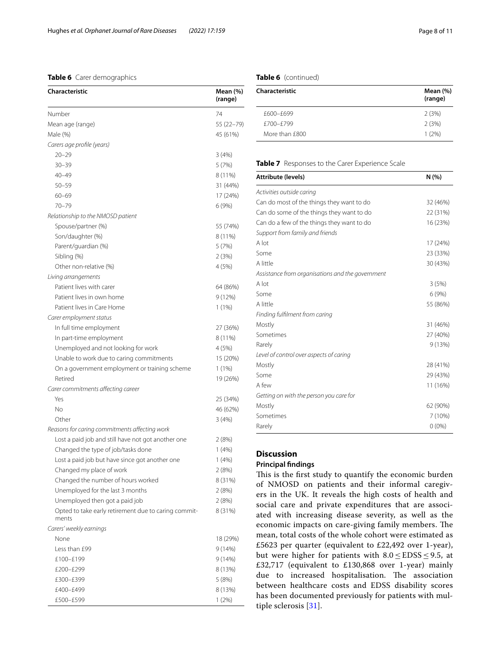# <span id="page-7-0"></span>**Table 6** Carer demographics

| Characteristic                                                | Mean (%)<br>(range) |
|---------------------------------------------------------------|---------------------|
| Number                                                        | 74                  |
| Mean age (range)                                              | 55 (22-79)          |
| Male (%)                                                      | 45 (61%)            |
| Carers age profile (years)                                    |                     |
| $20 - 29$                                                     | 3(4%)               |
| $30 - 39$                                                     | 5 (7%)              |
| $40 - 49$                                                     | 8 (11%)             |
| $50 - 59$                                                     | 31 (44%)            |
| $60 - 69$                                                     | 17 (24%)            |
| 70-79                                                         | 6 (9%)              |
| Relationship to the NMOSD patient                             |                     |
| Spouse/partner (%)                                            | 55 (74%)            |
| Son/daughter (%)                                              | 8 (11%)             |
| Parent/guardian (%)                                           | 5(7%)               |
| Sibling (%)                                                   | 2(3%)               |
| Other non-relative (%)                                        | 4 (5%)              |
| Living arrangements                                           |                     |
| Patient lives with carer                                      | 64 (86%)            |
| Patient lives in own home                                     | 9 (12%)             |
| Patient lives in Care Home                                    | 1(1%)               |
| Carer employment status                                       |                     |
| In full time employment                                       | 27 (36%)            |
| In part-time employment                                       | 8 (11%)             |
| Unemployed and not looking for work                           | 4 (5%)              |
| Unable to work due to caring commitments                      | 15 (20%)            |
| On a government employment or training scheme                 | $1(1\%)$            |
| Retired                                                       | 19 (26%)            |
| Carer commitments affecting career                            |                     |
| Yes                                                           | 25 (34%)            |
| No                                                            | 46 (62%)            |
| Other                                                         | 3(4%)               |
| Reasons for caring commitments affecting work                 |                     |
| Lost a paid job and still have not got another one            | 2(8%)               |
| Changed the type of job/tasks done                            | 1(4%)               |
| Lost a paid job but have since got another one                | 1(4%)               |
| Changed my place of work                                      | 2(8%)               |
| Changed the number of hours worked                            | 8 (31%)             |
| Unemployed for the last 3 months                              | 2(8%)               |
| Unemployed then got a paid job                                | 2 (8%)              |
| Opted to take early retirement due to caring commit-<br>ments | 8 (31%)             |
| Carers' weekly earnings                                       |                     |
| None                                                          | 18 (29%)            |
| Less than £99                                                 | 9 (14%)             |
| £100-£199                                                     | 9 (14%)             |
| £200-£299                                                     | 8 (13%)             |
| £300-£399                                                     | 5 (8%)              |
| £400-£499                                                     | 8 (13%)             |
| £500-£599                                                     | 1(2%)               |

# **Table 6** (continued)

| Mean $(\%)$<br>(range) |
|------------------------|
| 2(3%)                  |
| 2(3%)                  |
| 1(2%)                  |
|                        |

#### <span id="page-7-1"></span>**Table 7** Responses to the Carer Experience Scale

| <b>Attribute (levels)</b>                        | N(% )    |
|--------------------------------------------------|----------|
| Activities outside caring                        |          |
| Can do most of the things they want to do        | 32 (46%) |
| Can do some of the things they want to do        | 22 (31%) |
| Can do a few of the things they want to do       | 16 (23%) |
| Support from family and friends                  |          |
| A lot                                            | 17 (24%) |
| Some                                             | 23 (33%) |
| A little                                         | 30 (43%) |
| Assistance from organisations and the government |          |
| A lot                                            | 3(5%)    |
| Some                                             | 6(9%)    |
| A little                                         | 55 (86%) |
| Finding fulfilment from caring                   |          |
| Mostly                                           | 31 (46%) |
| Sometimes                                        | 27 (40%) |
| Rarely                                           | 9(13%)   |
| Level of control over aspects of caring          |          |
| Mostly                                           | 28 (41%) |
| Some                                             | 29 (43%) |
| A few                                            | 11 (16%) |
| Getting on with the person you care for          |          |
| Mostly                                           | 62 (90%) |
| Sometimes                                        | 7 (10%)  |
| Rarely                                           | $0(0\%)$ |

# **Discussion**

# **Principal fndings**

This is the first study to quantify the economic burden of NMOSD on patients and their informal caregivers in the UK. It reveals the high costs of health and social care and private expenditures that are associated with increasing disease severity, as well as the economic impacts on care-giving family members. The mean, total costs of the whole cohort were estimated as £5623 per quarter (equivalent to £22,492 over 1-year), but were higher for patients with  $8.0 \leq$  EDSS  $\leq$  9.5, at £32,717 (equivalent to £130,868 over 1-year) mainly due to increased hospitalisation. The association between healthcare costs and EDSS disability scores has been documented previously for patients with multiple sclerosis [\[31\]](#page-10-20).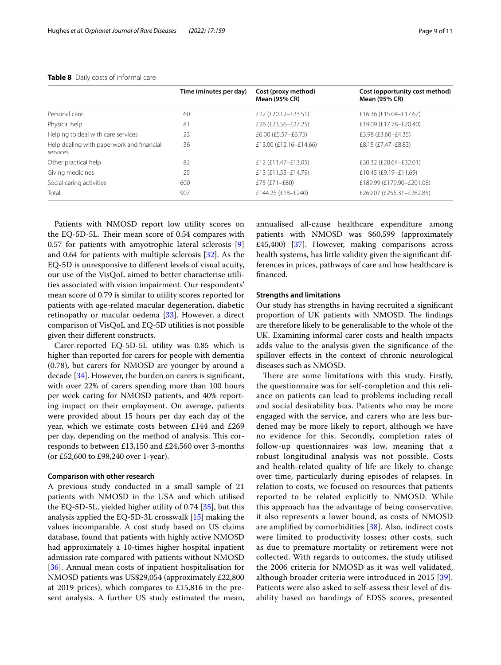|                                                       | Time (minutes per day) | Cost (proxy method)<br><b>Mean (95% CR)</b> | Cost (opportunity cost method)<br><b>Mean (95% CR)</b> |
|-------------------------------------------------------|------------------------|---------------------------------------------|--------------------------------------------------------|
| Personal care                                         | 60                     | £22 (£20.12-£23.51)                         | £16.36 (£15.04-£17.67)                                 |
| Physical help                                         | 81                     | £26 (£23.56-£27.25)                         | £19.09 (£17.78-£20.40)                                 |
| Helping to deal with care services                    | 23                     | £6.00 (£5.57-£6.75)                         | £3.98 (£3.60-£4.35)                                    |
| Help dealing with paperwork and financial<br>services | 36                     | £13.00 (£12.16-£14.66)                      | £8.15 (£7.47-£8.83)                                    |
| Other practical help                                  | 82                     | £12 (£11.47–£13.05)                         | £30.32 (£28.64-£32.01)                                 |
| Giving medicines                                      | 25                     | £13 (£11.55-£14.79)                         | £10.45 (£9.19-£11.69)                                  |
| Social caring activities                              | 600                    | £75 $(E71 - E80)$                           | £189.99 (£179.90-£201.08)                              |
| Total                                                 | 907                    | £144.25 (£18-£240)                          | £269.07 (£255.31-£282.85)                              |

#### <span id="page-8-0"></span>**Table 8** Daily costs of informal care

Patients with NMOSD report low utility scores on the EQ-5D-5L. Their mean score of 0.54 compares with 0.57 for patients with amyotrophic lateral sclerosis [\[9](#page-9-8)] and 0.64 for patients with multiple sclerosis [\[32\]](#page-10-21). As the EQ-5D is unresponsive to diferent levels of visual acuity, our use of the VisQoL aimed to better characterise utilities associated with vision impairment. Our respondents' mean score of 0.79 is similar to utility scores reported for patients with age-related macular degeneration, diabetic retinopathy or macular oedema [[33\]](#page-10-22). However, a direct comparison of VisQoL and EQ-5D utilities is not possible given their diferent constructs.

Carer-reported EQ-5D-5L utility was 0.85 which is higher than reported for carers for people with dementia (0.78), but carers for NMOSD are younger by around a decade [[34\]](#page-10-23). However, the burden on carers is signifcant, with over 22% of carers spending more than 100 hours per week caring for NMOSD patients, and 40% reporting impact on their employment. On average, patients were provided about 15 hours per day each day of the year, which we estimate costs between £144 and £269 per day, depending on the method of analysis. This corresponds to between £13,150 and £24,560 over 3-months (or £52,600 to £98,240 over 1-year).

#### **Comparison with other research**

A previous study conducted in a small sample of 21 patients with NMOSD in the USA and which utilised the EQ-5D-5L, yielded higher utility of 0.74 [\[35](#page-10-24)], but this analysis applied the EQ-5D-3L crosswalk [\[15](#page-10-4)] making the values incomparable. A cost study based on US claims database, found that patients with highly active NMOSD had approximately a 10-times higher hospital inpatient admission rate compared with patients without NMOSD [[36\]](#page-10-25). Annual mean costs of inpatient hospitalisation for NMOSD patients was US\$29,054 (approximately £22,800 at 2019 prices), which compares to £15,816 in the present analysis. A further US study estimated the mean, annualised all-cause healthcare expenditure among patients with NMOSD was \$60,599 (approximately £45,400) [[37](#page-10-26)]. However, making comparisons across health systems, has little validity given the signifcant differences in prices, pathways of care and how healthcare is fnanced.

#### **Strengths and limitations**

Our study has strengths in having recruited a signifcant proportion of UK patients with NMOSD. The findings are therefore likely to be generalisable to the whole of the UK. Examining informal carer costs and health impacts adds value to the analysis given the signifcance of the spillover efects in the context of chronic neurological diseases such as NMOSD.

There are some limitations with this study. Firstly, the questionnaire was for self-completion and this reliance on patients can lead to problems including recall and social desirability bias. Patients who may be more engaged with the service, and carers who are less burdened may be more likely to report, although we have no evidence for this. Secondly, completion rates of follow-up questionnaires was low, meaning that a robust longitudinal analysis was not possible. Costs and health-related quality of life are likely to change over time, particularly during episodes of relapses. In relation to costs, we focused on resources that patients reported to be related explicitly to NMOSD. While this approach has the advantage of being conservative, it also represents a lower bound, as costs of NMOSD are amplifed by comorbidities [\[38](#page-10-27)]. Also, indirect costs were limited to productivity losses; other costs, such as due to premature mortality or retirement were not collected. With regards to outcomes, the study utilised the 2006 criteria for NMOSD as it was well validated, although broader criteria were introduced in 2015 [[39\]](#page-10-28). Patients were also asked to self-assess their level of disability based on bandings of EDSS scores, presented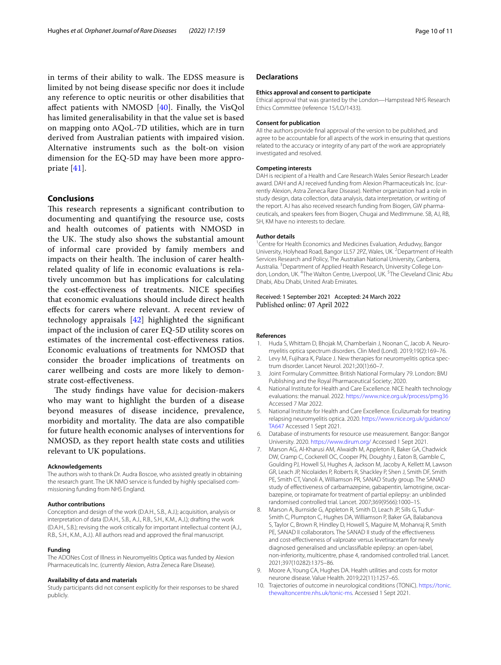in terms of their ability to walk. The EDSS measure is limited by not being disease specifc nor does it include any reference to optic neuritis or other disabilities that afect patients with NMOSD [[40\]](#page-10-29). Finally, the VisQol has limited generalisability in that the value set is based on mapping onto AQoL-7D utilities, which are in turn derived from Australian patients with impaired vision. Alternative instruments such as the bolt-on vision dimension for the EQ-5D may have been more appropriate [[41](#page-10-30)].

# **Conclusions**

This research represents a significant contribution to documenting and quantifying the resource use, costs and health outcomes of patients with NMOSD in the UK. The study also shows the substantial amount of informal care provided by family members and impacts on their health. The inclusion of carer healthrelated quality of life in economic evaluations is relatively uncommon but has implications for calculating the cost-efectiveness of treatments. NICE specifes that economic evaluations should include direct health efects for carers where relevant. A recent review of technology appraisals [[42](#page-10-31)] highlighted the signifcant impact of the inclusion of carer EQ-5D utility scores on estimates of the incremental cost-efectiveness ratios. Economic evaluations of treatments for NMOSD that consider the broader implications of treatments on carer wellbeing and costs are more likely to demonstrate cost-efectiveness.

The study findings have value for decision-makers who may want to highlight the burden of a disease beyond measures of disease incidence, prevalence, morbidity and mortality. The data are also compatible for future health economic analyses of interventions for NMOSD, as they report health state costs and utilities relevant to UK populations.

#### **Acknowledgements**

The authors wish to thank Dr. Audra Boscoe, who assisted greatly in obtaining the research grant. The UK NMO service is funded by highly specialised commissioning funding from NHS England.

#### **Author contributions**

Conception and design of the work (D.A.H., S.B., A.J.); acquisition, analysis or interpretation of data (D.A.H., S.B., A.J., R.B., S.H., K.M., A.J.); drafting the work (D.A.H., S.B.); revising the work critically for important intellectual content (A.J., R.B., S.H., K.M., A.J.). All authors read and approved the fnal manuscript.

#### **Funding**

The ADONes Cost of Illness in Neuromyelitis Optica was funded by Alexion Pharmaceuticals Inc. (currently Alexion, Astra Zeneca Rare Disease).

#### **Availability of data and materials**

Study participants did not consent explicitly for their responses to be shared publicly.

# **Declarations**

#### **Ethics approval and consent to participate**

Ethical approval that was granted by the London—Hampstead NHS Research Ethics Committee (reference 15/LO/1433).

#### **Consent for publication**

All the authors provide fnal approval of the version to be published, and agree to be accountable for all aspects of the work in ensuring that questions related to the accuracy or integrity of any part of the work are appropriately investigated and resolved.

#### **Competing interests**

DAH is recipient of a Health and Care Research Wales Senior Research Leader award. DAH and AJ received funding from Alexion Pharmaceuticals Inc. (currently Alexion, Astra Zeneca Rare Disease). Neither organization had a role in study design, data collection, data analysis, data interpretation, or writing of the report. AJ has also received research funding from Biogen, GW pharmaceuticals, and speakers fees from Biogen, Chugai and MedImmune. SB, AJ, RB, SH, KM have no interests to declare.

#### **Author details**

<sup>1</sup> Centre for Health Economics and Medicines Evaluation, Ardudwy, Bangor University, Holyhead Road, Bangor LL57 2PZ, Wales, UK. <sup>2</sup> Department of Health Services Research and Policy, The Australian National University, Canberra, Australia. <sup>3</sup> Department of Applied Health Research, University College London, London, UK.<sup>4</sup>The Walton Centre, Liverpool, UK.<sup>5</sup>The Cleveland Clinic Abu Dhabi, Abu Dhabi, United Arab Emirates.

# Received: 1 September 2021 Accepted: 24 March 2022 Published online: 07 April 2022

#### **References**

- <span id="page-9-0"></span>1. Huda S, Whittam D, Bhojak M, Chamberlain J, Noonan C, Jacob A. Neuromyelitis optica spectrum disorders. Clin Med (Lond). 2019;19(2):169–76.
- <span id="page-9-1"></span>2. Levy M, Fujihara K, Palace J. New therapies for neuromyelitis optica spectrum disorder. Lancet Neurol. 2021;20(1):60–7.
- <span id="page-9-2"></span>3. Joint Formulary Committee. British National Formulary 79. London: BMJ Publishing and the Royal Pharmaceutical Society; 2020.
- <span id="page-9-3"></span>4. National Institute for Health and Care Excellence. NICE health technology evaluations: the manual. 2022.<https://www.nice.org.uk/process/pmg36> Accessed 7 Mar 2022.
- <span id="page-9-4"></span>5. National Institute for Health and Care Excellence. Eculizumab for treating relapsing neuromyelitis optica. 2020. [https://www.nice.org.uk/guidance/](https://www.nice.org.uk/guidance/TA647) [TA647](https://www.nice.org.uk/guidance/TA647) Accessed 1 Sept 2021.
- <span id="page-9-5"></span>6. Database of instruments for resource use measurement. Bangor: Bangor University. 2020. <https://www.dirum.org/> Accessed 1 Sept 2021.
- <span id="page-9-6"></span>7. Marson AG, Al-Kharusi AM, Alwaidh M, Appleton R, Baker GA, Chadwick DW, Cramp C, Cockerell OC, Cooper PN, Doughty J, Eaton B, Gamble C, Goulding PJ, Howell SJ, Hughes A, Jackson M, Jacoby A, Kellett M, Lawson GR, Leach JP, Nicolaides P, Roberts R, Shackley P, Shen J, Smith DF, Smith PE, Smith CT, Vanoli A, Williamson PR, SANAD Study group. The SANAD study of efectiveness of carbamazepine, gabapentin, lamotrigine, oxcarbazepine, or topiramate for treatment of partial epilepsy: an unblinded randomised controlled trial. Lancet. 2007;369(9566):1000–15.
- <span id="page-9-7"></span>8. Marson A, Burnside G, Appleton R, Smith D, Leach JP, Sills G, Tudur-Smith C, Plumpton C, Hughes DA, Williamson P, Baker GA, Balabanova S, Taylor C, Brown R, Hindley D, Howell S, Maguire M, Mohanraj R, Smith PE, SANAD II collaborators. The SANAD II study of the effectiveness and cost-effectiveness of valproate versus levetiracetam for newly diagnosed generalised and unclassifable epilepsy: an open-label, non-inferiority, multicentre, phase 4, randomised controlled trial. Lancet. 2021;397(10282):1375–86.
- <span id="page-9-8"></span>9. Moore A, Young CA, Hughes DA. Health utilities and costs for motor neurone disease. Value Health. 2019;22(11):1257–65.
- <span id="page-9-9"></span>10. Trajectories of outcome in neurological conditions (TONiC). [https://tonic.](https://tonic.thewaltoncentre.nhs.uk/tonic-ms) [thewaltoncentre.nhs.uk/tonic-ms.](https://tonic.thewaltoncentre.nhs.uk/tonic-ms) Accessed 1 Sept 2021.